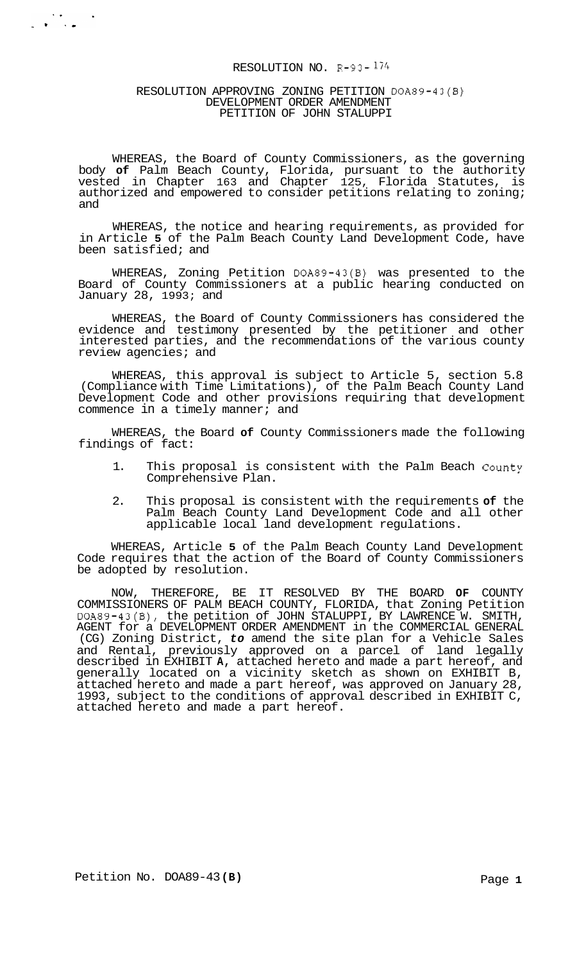## RESOLUTION NO. R-93- *<sup>174</sup>*

### RESOLUTION APPROVING ZONING PETITION DOA89-43(B) DEVELOPMENT ORDER AMENDMENT PETITION OF JOHN STALUPPI

 $\frac{1}{\sqrt{2\pi}}\sum_{i=1}^{\infty}\frac{1}{\sqrt{2\pi}}\left(\frac{1}{\sqrt{2\pi}}\right)^{i}=\frac{1}{2\sqrt{2\pi}}\sum_{i=1}^{\infty}\frac{1}{\sqrt{2\pi}}\left(\frac{1}{\sqrt{2\pi}}\right)^{i}=\frac{1}{2\sqrt{2\pi}}\sum_{i=1}^{\infty}\frac{1}{\sqrt{2\pi}}\left(\frac{1}{\sqrt{2\pi}}\right)^{i}=\frac{1}{2\sqrt{2\pi}}\sum_{i=1}^{\infty}\frac{1}{\sqrt{2\pi}}\left(\frac{1}{\sqrt{2\pi}}\right)^$ 

WHEREAS, the Board of County Commissioners, as the governing body **of** Palm Beach County, Florida, pursuant to the authority vested in Chapter 163 and Chapter 125, Florida Statutes, is authorized and empowered to consider petitions relating to zoning; and

WHEREAS, the notice and hearing requirements, as provided for in Article **5** of the Palm Beach County Land Development Code, have been satisfied; and

WHEREAS, Zoning Petition DOA89-43(B) was presented to the Board of County Commissioners at a public hearing conducted on January 28, 1993; and

WHEREAS, the Board of County Commissioners has considered the evidence and testimony presented by the petitioner and other interested parties, and the recommendations of the various county review agencies; and

WHEREAS, this approval is subject to Article 5, section 5.8 (Compliance with Time Limitations), of the Palm Beach County Land Development Code and other provisions requiring that development commence in a timely manner; and

WHEREAS, the Board **of** County Commissioners made the following findings of fact:

- 1. This proposal is consistent with the Palm Beach County Comprehensive Plan.
- 2. This proposal is consistent with the requirements **of** the Palm Beach County Land Development Code and all other applicable local land development regulations.

WHEREAS, Article **5** of the Palm Beach County Land Development Code requires that the action of the Board of County Commissioners be adopted by resolution.

NOW, THEREFORE, BE IT RESOLVED BY THE BOARD **OF** COUNTY COMMISSIONERS OF PALM BEACH COUNTY, FLORIDA, that Zoning Petition DOA89-43(B), the petition of JOHN STALUPPI, BY LAWRENCE W. SMITH, AGENT for a DEVELOPMENT ORDER AMENDMENT in the COMMERCIAL GENERAL (CG) Zoning District, *to* amend the site plan for a Vehicle Sales and Rental, previously approved on a parcel of land legally described in EXHIBIT **A,** attached hereto and made a part hereof, and generally located on a vicinity sketch as shown on EXHIBIT B, attached hereto and made a part hereof, was approved on January 28, 1993, subject to the conditions of approval described in EXHIBIT C, attached hereto and made a part hereof.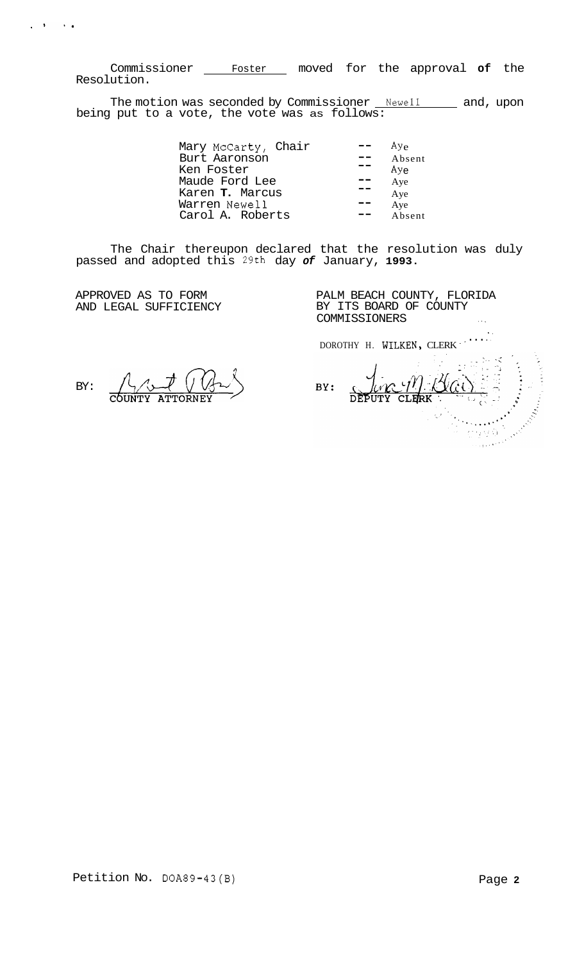Commissioner \_\_\_\_\_Foster \_\_\_\_ moved for the approval of the Resolution.

The motion was seconded by Commissioner <u>Newell and</u>, upon being put to a vote, the vote was as follows:

| Mary McCarty, Chair | Aye       |
|---------------------|-----------|
| Burt Aaronson       | Absent    |
| Ken Foster          | $Ay \sim$ |
| Maude Ford Lee      | Aye       |
| Karen T. Marcus     | Aye       |
| Warren Newell       | Aye       |
| Carol A. Roberts    | Absent    |

The Chair thereupon declared that the resolution was duly passed and adopted this **29th** day *of* January, **1993.** 

APPROVED AS TO FORM AND LEGAL SUFFICIENCY

 $\mathbf{q} = \mathbf{y} \in \mathbb{R}^{d \times d}$  , where

PALM BEACH COUNTY, FLORIDA BY ITS BOARD OF COUNTY COMMISSIONERS

**DOROTHY H. WILKEN, CLERK** 

BY:

外科などの  $-M$   $\mathcal{B}$ ai BY: **CLERK** ina ang pang

..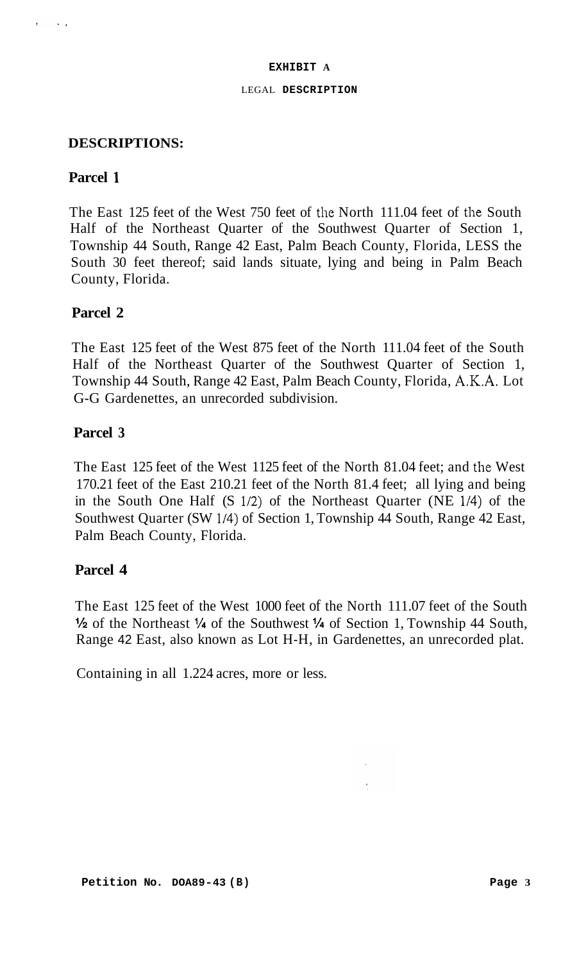# **EXHIBIT A**

## LEGAL **DESCRIPTION**

# **DESCRIPTIONS:**

# **Parcel 1**

 $\sim 100$  km s  $^{-1}$ 

The East 125 feet of the West 750 feet of the North 11 1.04 feet of the South Half of the Northeast Quarter of the Southwest Quarter of Section 1, Township 44 South, Range 42 East, Palm Beach County, Florida, LESS the South 30 feet thereof; said lands situate, lying and being in Palm Beach County, Florida.

# **Parcel 2**

The East 125 feet of the West 875 feet of the North 11 1.04 feet of the South Half of the Northeast Quarter of the Southwest Quarter of Section 1, Township 44 South, Range 42 East, Palm Beach County, Florida, A.K.A. Lot G-G Gardenettes, an unrecorded subdivision.

# **Parcel 3**

The East 125 feet of the West 1125 feet of the North 81.04 feet; and the West 170.21 feet of the East 210.21 feet of the North 81.4 feet; all lying and being in the South One Half (S 1/2) of the Northeast Quarter (NE 1/4) of the Southwest Quarter (SW 1/4) of Section 1, Township 44 South, Range 42 East, Palm Beach County, Florida.

# **Parcel 4**

The East 125 feet of the West 1000 feet of the North 11 1.07 feet of the South **l/2** of the Northeast **1/4** of the Southwest **1/4** of Section 1, Township 44 South, Range 42 East, also known as Lot H-H, in Gardenettes, an unrecorded plat.

Containing in all 1.224 acres, more or less.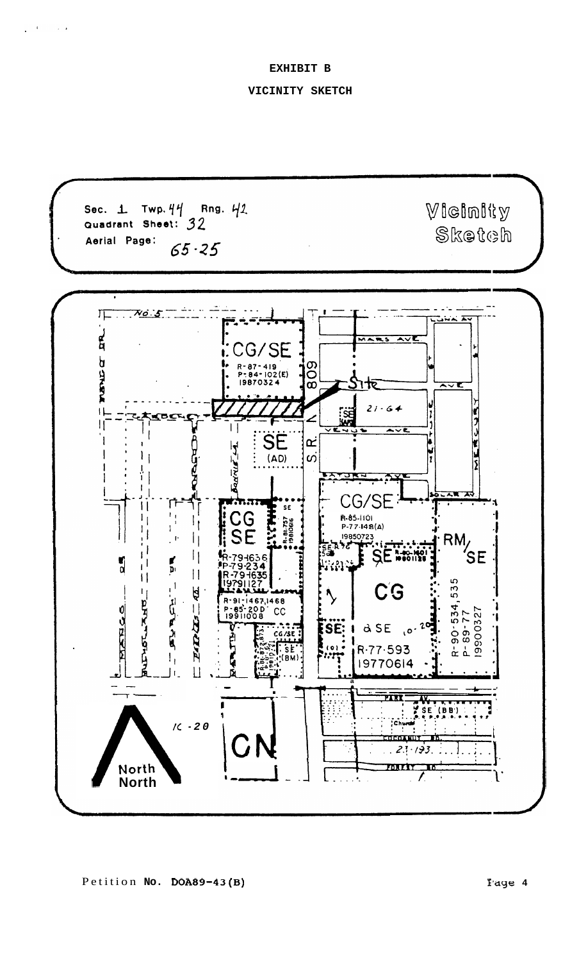# **EXHIBIT B**

 $\mathcal{A}$ 

 $\sim 10^{11}$  km  $^{-1}$ 

## **VICINITY SKETCH**

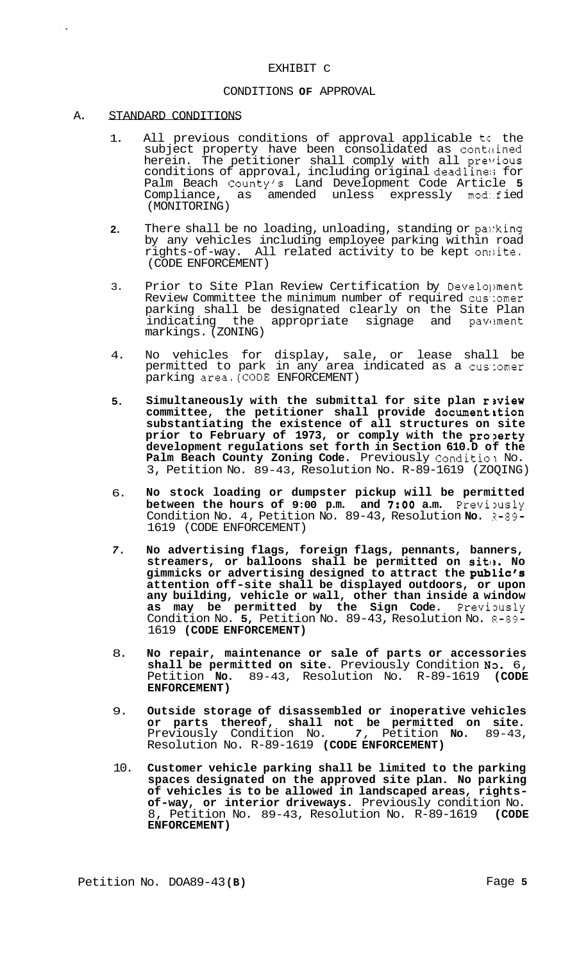## CONDITIONS **OF** APPROVAL

#### A. STANDARD CONDITIONS

- 1. All previous conditions of approval applicable to the subject property have been consolidated as contained herein. The petitioner shall comply with all previous conditions of approval, including original deadline;; for Palm Beach County's Land Development Code Article **5**  Compliance, as amended unless expressly mod:.f ied (MONITORING)
- **2.**  There shall be no loading, unloading, standing or panking by any vehicles including employee parking within road rights-of-way. All related activity to be kept onsite. (CODE ENFORCEMENT)
- 3. Prior to Site Plan Review Certification by Development Review Committee the minimum number of required cus':omer parking shall be designated clearly on the Site Plan indicating the appropriate signage and pavement markings. (ZONING)
- 4. No vehicles for display, sale, or lease shall be permitted to park in any area indicated as a cus':omer parking area.(CODE ENFORCEMENT)
- **5. Simultaneously with the submittal for site plan rsview**  committee, the petitioner shall provide documentition **substantiating the existence of all structures on site prior to February of 1973, or comply with the pro:?erty development regulations set forth in Section 610.D of the Palm Beach County Zoning Code.** Previously Conditio1 No. 3, Petition No. 89-43, Resolution No. R-89-1619 (ZOQING)
- 6. **No stock loading or dumpster pickup will be permitted between the hours of 9:00 p.m. and 7:00 a.m.** Previously Condition No. 4, Petition No. 89-43, Resolution **No.** 3-89- 1619 (CODE ENFORCEMENT)
- *7.*  **No advertising flags, foreign flags, pennants, banners,**  streamers, or balloons shall be permitted on site. No gimmicks or advertising designed to attract the public's **attention off-site shall be displayed outdoors, or upon any building, vehicle or wall, other than inside a window**  as may be permitted by the Sign Code. Previously Condition No. **5,** Petition No. 89-43, Resolution No. R-89- 1619 **(CODE ENFORCEMENT)**
- 8. **No repair, maintenance or sale of parts or accessories shall be permitted on site.** Previously Condition **ND.** 6, Petition **No.** 89-43, Resolution No. R-89-1619 **(CODE ENFORCEMENT)**
- 9. **Outside storage of disassembled or inoperative vehicles or parts thereof, shall not be permitted on site.**  Previously Condition No. *7,* Petition **No.** 89-43, Resolution No. R-89-1619 **(CODE ENFORCEMENT)**
- 10. **Customer vehicle parking shall be limited to the parking spaces designated on the approved site plan. No parking**  of-way, or interior driveways. Previously condition No. 8, Petition No. 89-43, Resolution No. R-89-1619 **(CODE ENFORCEMENT)**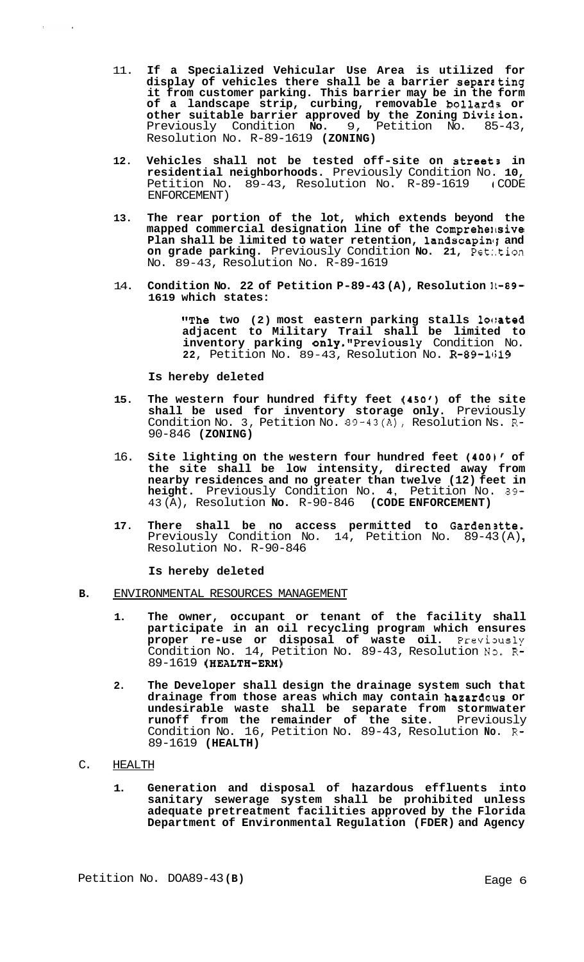- 11. **If a Specialized Vehicular Use Area is utilized for display of vehicles there shall be a barrier separating it from customer parking. This barrier may be in the form of a landscape strip, curbing, removable bollards or other suitable barrier approved by the Zoning Division.**  Previously Condition **No.** 9, Petition No. 85-43, Resolution No. R-89-1619 **(ZONING)**
- **12. Vehicles shall not be tested off-site on street3 in residential neighborhoods.** Previously Condition No. **10,**  Petition No. 89-43, Resolution No. R-89-1619 ( CODE ENFORCEMENT)
- **13. The rear portion of the lot, which extends beyond the mapped commercial designation line of the Comprehel~sive**  Plan shall be limited to water retention, landscaping and **on grade parking.** Previously Condition **No. 21,** Pet:.tion No. 89-43, Resolution No. R-89-1619
- 14. Condition No. 22 of Petition P-89-43(A), Resolution  $l-89$ -**1619 which states:**

**"The two (2) most eastern parking stalls 1oc:ated adjacent to Military Trail shall be limited to**  inventory parking only."Previously Condition No. **22,** Petition No. 89-43, Resolution No. R-89-lli19

**Is hereby deleted** 

- **15. The western four hundred fifty feet (450') of the site shall be used for inventory storage only.** Previously Condition No. 3, Petition No. 89-43(A), Resolution Ns. R-90-846 **(ZONING)**
- 16. Site lighting on the western four hundred feet (400)' of **the site shall be low intensity, directed away from nearby residences and no greater than twelve (12) feet in height.** Previously Condition No. **4,** Petition No. 89- 43 (A), Resolution **No.** R-90-846 **(CODE ENFORCEMENT)**
- 17. There shall be no access permitted to Garden<sub>3tte.</sub><br>
Previously Condition No. 14, Petition No. 89-43(A),<br>
Resolution No. R-90-846

**Is hereby deleted** 

- **B.** ENVIRONMENTAL RESOURCES MANAGEMENT
	- **1. The owner, occupant or tenant of the facility shall participate in an oil recycling program which ensures proper re-use or disposal of waste oil.** Previously Condition No. 14, Petition No. 89-43, Resolution **N3.** R-89-1619 **(HEALTB-ERM)**
	- **2. The Developer shall design the drainage system such that drainage from those areas which may contain hazardaus or undesirable waste shall be separate from stormwater runoff from the remainder of the site.** Previously Condition No. 16, Petition No. 89-43, Resolution **No. R-**89-1619 **(HEALTH)**
- C. HEALTH

 $\mathbf{r}$ 

**1. Generation and disposal of hazardous effluents into sanitary sewerage system shall be prohibited unless adequate pretreatment facilities approved by the Florida Department of Environmental Regulation (FDER) and Agency**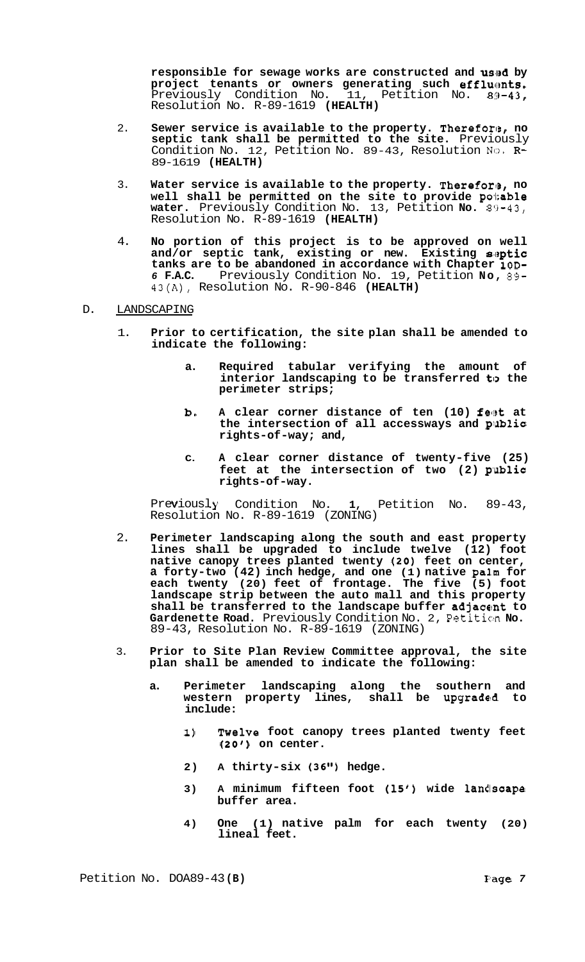<span id="page-6-0"></span>**responsible for sewage works are constructed and us'l,d by**  project tenants or owners generating such efflu@nts. Previously Condition No. 11, Petition No. 89-43, Resolution No. R-89-1619 **(HEALTH)** 

- 2. Sewer service is available to the property. Therefore, no **septic tank shall be permitted to the site.** Previously Condition No. 12, Petition No. 89-43, Resolution No. **R-**89-1619 **(HEALTH)**
- 3. Water service is available to the property. Therefore, no **well shall be permitted on the site to provide pokable water.** Previously Condition No. 13, Petition **No.** 89-43, Resolution No. R-89-1619 **(HEALTH)**
- 4. **No portion of this project is to be approved on well**  and/or septic tank, existing or new. Existing septic **tanks are to be abandoned in accordance with Chapter 10D-***6* **F.A.C.** Previously Condition No. 19, Petition **No,** 89- 43(A), Resolution No. R-90-846 **(HEALTH)**
- D. LANDSCAPING
	- 1. **Prior to certification, the site plan shall be amended to indicate the following:** 
		- **a. Required tabular verifying the amount of interior landscaping to be transferred to the perimeter strips;**
		- **b.**  A clear corner distance of ten (10) feet at **the intersection of all accessways and plublic rights-of-way; and,**
		- **C.**  A clear corner distance of twenty-five (25) **feet at the intersection of two (2) p'ublic rights-of-way.**

Previously Condition No. 1, Petition No. 89-43, Resolution No. R-89-1619 (ZONING)

- 2. **Perimeter landscaping along the south and east property lines shall be upgraded to include twelve (12) foot native canopy trees planted twenty (20) feet on center, a** forty-two (42) inch hedge, and one (1) native palm for **each twenty (20) feet of frontage. The five (5) foot landscape strip between the auto mall and this property shall be transferred to the landscape buffer adjacelnt to Gardenette Road.** Previously Condition No. 2, Petition **No.**  89-43, Resolution No. R-89-1619 (ZONING)
- 3. **Prior to Site Plan Review Committee approval, the site plan shall be amended to indicate the following:** 
	- **a. Perimeter landscaping along the southern and western property lines, shall be upgradeid to include:** 
		- **1) Twelve foot canopy trees planted twenty feet (20') on center.**
		- **2) A thirty-six (36") hedge.**
		- **3) A minimum fifteen foot (15,) wide landscape buffer area.**
		- **4) One (1) native palm for each twenty (20) lineal feet.**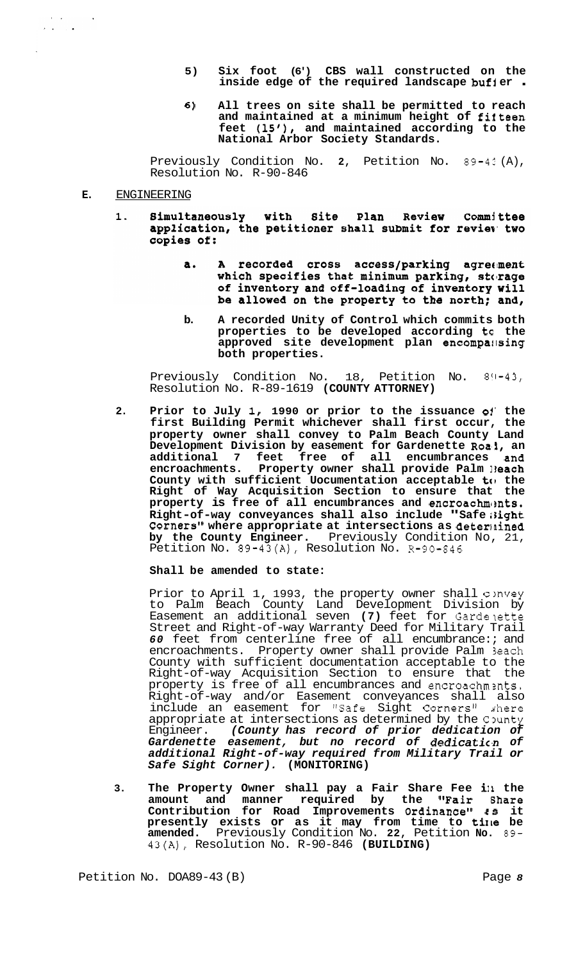- **5) Six foot (6') CBS wall constructed on the inside edge of the required landscape bufi er** .
- **6) All trees on site shall be permitted to reach and maintained at a minimum height of fifteen**  feet (15'), and maintained according to the **National Arbor Society Standards.**

Previously Condition No. **2,** Petition No. 89-42 (A), Resolution No. R-90-846

#### **E.** ENGINEERING

 $\label{eq:2} \frac{1}{\sqrt{2}}\sum_{i=1}^n\frac{1}{\sqrt{2}}\sum_{i=1}^n\frac{1}{\sqrt{2}}\sum_{i=1}^n\frac{1}{\sqrt{2}}\sum_{i=1}^n\frac{1}{\sqrt{2}}\sum_{i=1}^n\frac{1}{\sqrt{2}}\sum_{i=1}^n\frac{1}{\sqrt{2}}\sum_{i=1}^n\frac{1}{\sqrt{2}}\sum_{i=1}^n\frac{1}{\sqrt{2}}\sum_{i=1}^n\frac{1}{\sqrt{2}}\sum_{i=1}^n\frac{1}{\sqrt{2}}\sum_{i=1}^n\frac{1$ 

 $\sim$   $\sim$ 

- Simultaneously with Site Plan 1. **Review** Committee application, the petitioner shall submit for review two copies of:
	- A recorded cross access/parking agreement a. which specifies that minimum parking, storage of inventory and off-loading of inventory will be allowed on the property to the north; and,
	- **b. A recorded Unity of Control which commits both properties to be developed according tc the approved site development plan encompailsing both properties.**

Previously Condition No. 18, Petition No. 89-43, Resolution No. R-89-1619 **(COUNTY ATTORNEY)** 

**2. Prior to July I, 1990 or prior to the issuance oj' the first Building Permit whichever shall first occur, the property owner shall convey to Palm Beach County Land Development Division by easement for Gardenette Roa'I, an additional 7 feet free of all encumbrances and encroachments. Property owner shall provide Palm ])each County with sufficient Uocumentation acceptable to the Right of Way Acquisition Section to ensure that the**  property is free of all encumbrances and encroachments. Right-of-way conveyances shall also include "Safe **;ight Corners" where appropriate at intersections as deterlained by the County Engineer.** Previously Condition No, 21, Petition No. 89-43(A), Resolution NO. R-90-846

## **Shall be amended to state:**

Prior to April 1, 1993, the property owner shall convey to Palm Beach County Land Development Division by Easement an additional seven **(7)** feet for Gardelette Street and Right-of-way Warranty Deed for Military Trail *60* feet from centerline free of all encumbrance:; and encroachments. Property owner shall provide Palm 3each County with sufficient documentation acceptable to the Right-of-way Acquisition Section to ensure that the property is free of all encumbrances and encroachmznts. Right-of-way and/or Easement conveyances shall also include an easement for "Safe Sight Corners" where appropriate at intersections as determined by the County Engineer. *(County has record of prior dedication of Gardenette easement, but no record of dedicatic'n of additional Right-of-way required from Military Trail or Safe Sight Corner).* **(MONITORING)** 

**3. The Property Owner shall pay a Fair Share Fee ill the amount and manner required by the "Fair Ghare Contribution for Road Improvements Ordinance" es it presently exists or as it may from time to tixke be amended.** Previously Condition No. **22,** Petition **No.** 89- 43(A), Resolution No. R-90-846 **(BUILDING)**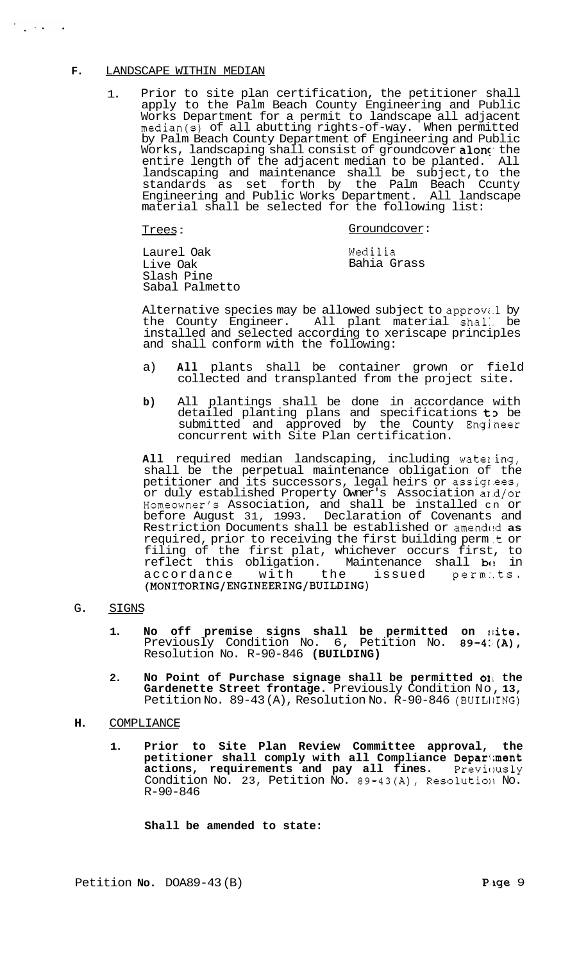### **F.** LANDSCAPE WITHIN MEDIAN

 $\mathcal{L}_{\mathbf{q}}$  , we can be

1. Prior to site plan certification, the petitioner shall apply to the Palm Beach County Engineering and Public Works Department for a permit to landscape all adjacent median(s) of all abutting rights-of-way. When permitted by Palm Beach County Department of Engineering and Public Works, landscaping shall consist of groundcover along the entire length of the adjacent median to be planted. All landscaping and maintenance shall be subject, to the standards as set forth by the Palm Beach Ccunty Engineering and Public Works Department. All landscape material shall be selected for the following list:

Trees :

## Groundcover:

Laurel Oak Live Oak Slash Pine Sabal Palmetto Wedilia Bahia Grass

Alternative species may be allowed subject to approval by the County Engineer. All plant material shal:. be installed and selected according to xeriscape principles and shall conform with the following:

- a) **All** plants shall be container grown or field collected and transplanted from the project site.
- **b)** All plantings shall be done in accordance with detailed planting plans and specifications t3 be submitted and approved by the County Engineer concurrent with Site Plan certification.

All required median landscaping, including wateling, shall be the perpetual maintenance obligation of the petitioner and its successors, legal heirs or assigr.ees, or duly established Property Owner's Association ar.d/or Homeowner's Association, and shall be installed cn or before August 31, 1993. Declaration of Covenants and Restriction Documents shall be established or amended as required, prior to receiving the first building perm .t or filing of the first plat, whichever occurs first, to reflect this obligation. Maintenance shall **b**o in reflect this obligation. Maintenance shall be in<br>accordance with the issued permits. **(MONITORING/ENGINEERING/BUILDING)** 

### G. SIGNS

- 1. No off premise signs shall be permitted on *fite*. Previously Condition No. 6, Petition No. 89-4: (A), Resolution No. R-90-846 **(BUILDING)**
- **2. No Point of Purchase signage shall be permitted 011 the Gardenette Street frontage.** Previously Condition No, **13,**  Petition No. 89-43(A), Resolution No. R-90-846 (BUILIING)
- **H.** COMPLIANCE
	- **1. Prior to Site Plan Review Committee approval, the petitioner shall comply with all Compliance Deparfiment actions, requirements and pay all fines.** Previously Condition No. 23, Petition No. 89-43(A), Resolution No. R-90-846

**Shall be amended to state:**